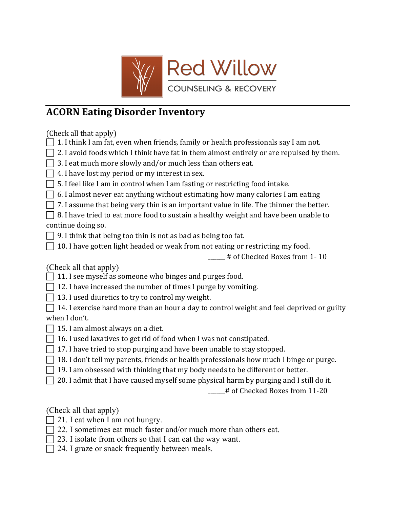

## **ACORN Eating Disorder Inventory**

(Check all that apply)

- $\Box$  1. I think I am fat, even when friends, family or health professionals say I am not.
- $\Box$  2. I avoid foods which I think have fat in them almost entirely or are repulsed by them.
- $\Box$  3. I eat much more slowly and/or much less than others eat.
- $\Box$  4. I have lost my period or my interest in sex.
- $\Box$  5. I feel like I am in control when I am fasting or restricting food intake.
- $\Box$  6. I almost never eat anything without estimating how many calories I am eating
- $\Box$  7. I assume that being very thin is an important value in life. The thinner the better.
- $\Box$  8. I have tried to eat more food to sustain a healthy weight and have been unable to continue doing so.
- $\Box$  9. I think that being too thin is not as bad as being too fat.
- $\Box$  10. I have gotten light headed or weak from not eating or restricting my food.
	- \_\_\_\_\_ # of Checked Boxes from 1-10

(Check all that apply)

- $\Box$  11. I see myself as someone who binges and purges food.
- $\Box$  12. I have increased the number of times I purge by vomiting.
- $\Box$  13. I used diuretics to try to control my weight.

 $\Box$  14. I exercise hard more than an hour a day to control weight and feel deprived or guilty when I don't.

- $\Box$  15. I am almost always on a diet.
- $\Box$  16. I used laxatives to get rid of food when I was not constipated.
- $\Box$  17. I have tried to stop purging and have been unable to stay stopped.
- $\Box$  18. I don't tell my parents, friends or health professionals how much I binge or purge.
- $\Box$  19. I am obsessed with thinking that my body needs to be different or better.
- $\Box$  20. I admit that I have caused myself some physical harm by purging and I still do it.

# of Checked Boxes from 11-20

(Check all that apply)

- $\Box$  21. I eat when I am not hungry.
- $\Box$  22. I sometimes eat much faster and/or much more than others eat.
- $\Box$  23. I isolate from others so that I can eat the way want.
- $\Box$  24. I graze or snack frequently between meals.